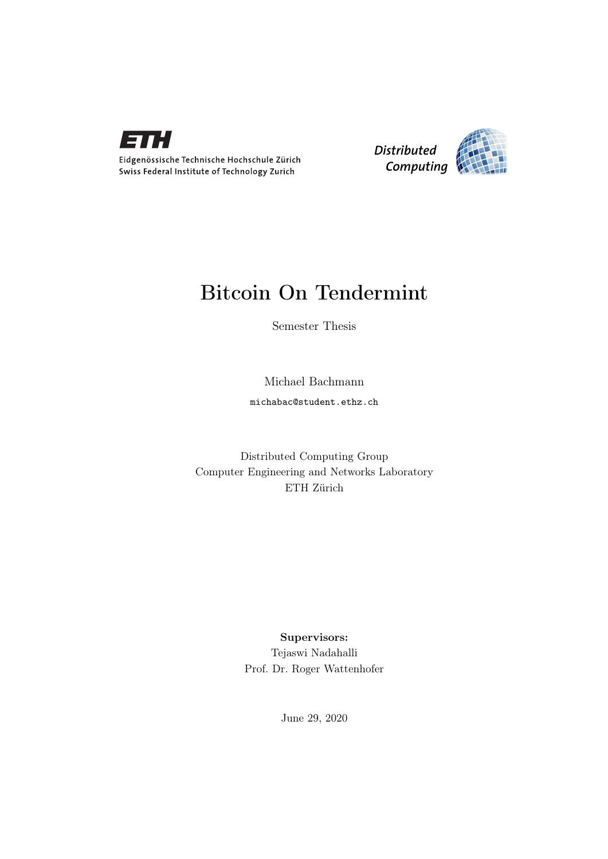

Eidgenössische Technische Hochschule Zürich Swiss Federal Institute of Technology Zurich



## Bitcoin On Tendermint

Semester Thesis

Michael Bachmann michabac@student.ethz.ch

Distributed Computing Group Computer Engineering and Networks Laboratory ETH Zürich

## Supervisors: Tejaswi Nadahalli Prof. Dr. Roger Wattenhofer

June 29, 2020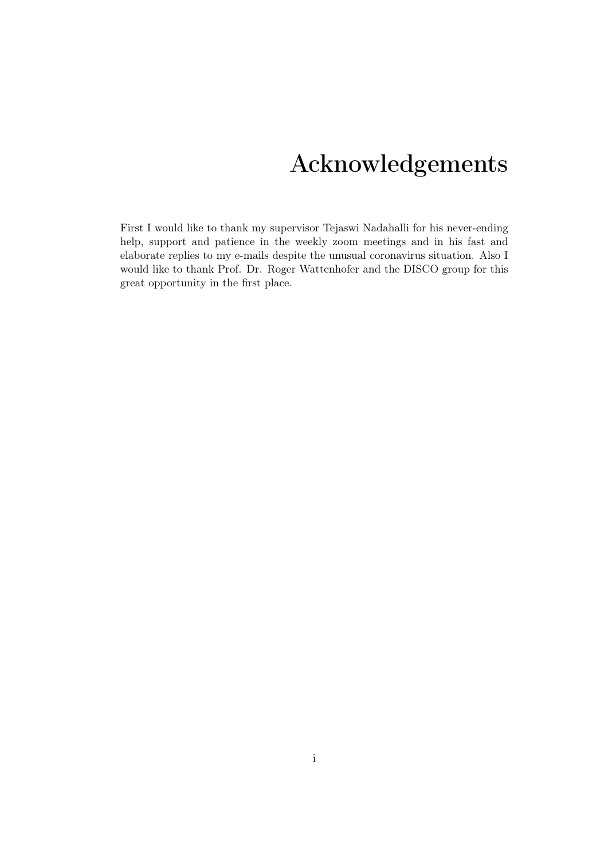## Acknowledgements

<span id="page-1-0"></span>First I would like to thank my supervisor Tejaswi Nadahalli for his never-ending help, support and patience in the weekly zoom meetings and in his fast and elaborate replies to my e-mails despite the unusual coronavirus situation. Also I would like to thank Prof. Dr. Roger Wattenhofer and the DISCO group for this great opportunity in the first place.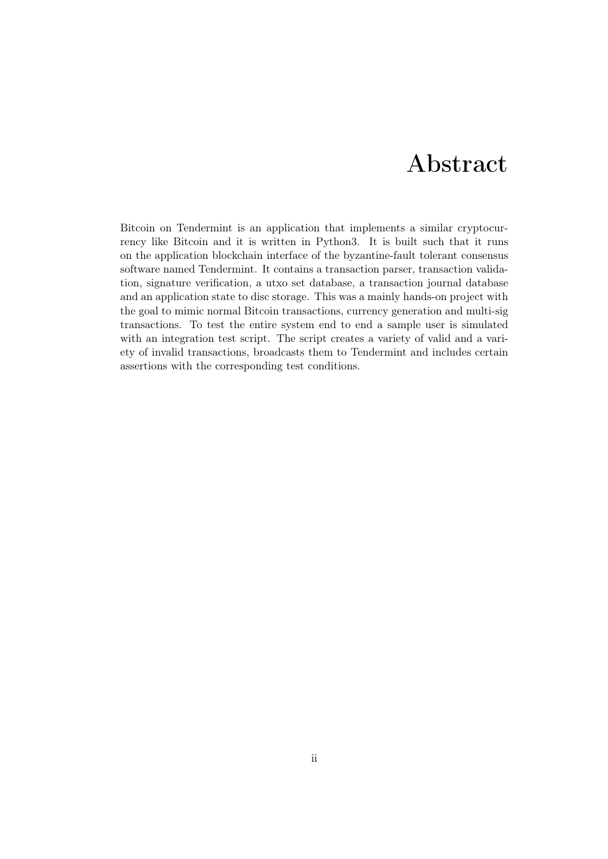## Abstract

<span id="page-2-0"></span>Bitcoin on Tendermint is an application that implements a similar cryptocurrency like Bitcoin and it is written in Python3. It is built such that it runs on the application blockchain interface of the byzantine-fault tolerant consensus software named Tendermint. It contains a transaction parser, transaction validation, signature verification, a utxo set database, a transaction journal database and an application state to disc storage. This was a mainly hands-on project with the goal to mimic normal Bitcoin transactions, currency generation and multi-sig transactions. To test the entire system end to end a sample user is simulated with an integration test script. The script creates a variety of valid and a variety of invalid transactions, broadcasts them to Tendermint and includes certain assertions with the corresponding test conditions.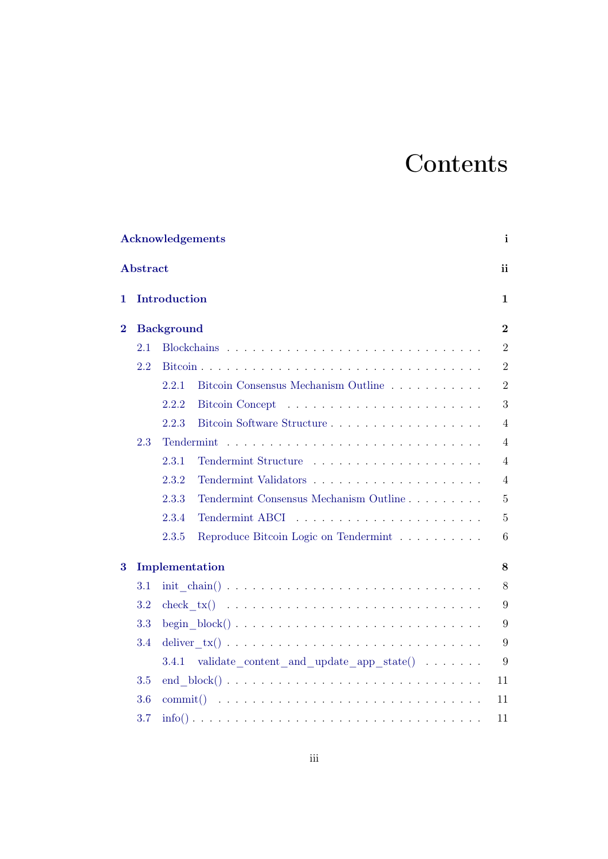# **Contents**

|          |          | Acknowledgements                                                                                  | $\mathbf{i}$   |
|----------|----------|---------------------------------------------------------------------------------------------------|----------------|
|          | Abstract |                                                                                                   | ii             |
| 1        |          | Introduction                                                                                      | $\mathbf 1$    |
| $\bf{2}$ |          | <b>Background</b>                                                                                 | $\overline{2}$ |
|          | 2.1      |                                                                                                   | $\overline{2}$ |
|          | 2.2      |                                                                                                   | $\overline{2}$ |
|          |          | 2.2.1<br>Bitcoin Consensus Mechanism Outline                                                      | $\mathbf{2}$   |
|          |          | 2.2.2                                                                                             | 3              |
|          |          | 2.2.3                                                                                             | $\overline{4}$ |
|          | 2.3      |                                                                                                   | $\overline{4}$ |
|          |          | 2.3.1                                                                                             | $\overline{4}$ |
|          |          | 2.3.2                                                                                             | $\overline{4}$ |
|          |          | Tendermint Consensus Mechanism Outline<br>2.3.3                                                   | $\overline{5}$ |
|          |          | 2.3.4                                                                                             | $\bf 5$        |
|          |          | Reproduce Bitcoin Logic on Tendermint<br>2.3.5                                                    | 6              |
| 3        |          | Implementation                                                                                    | 8              |
|          | 3.1      |                                                                                                   | 8              |
|          | 3.2      |                                                                                                   | 9              |
|          | 3.3      | begin $block() \ldots \ldots \ldots \ldots \ldots \ldots \ldots \ldots \ldots \ldots$             | 9              |
|          | 3.4      |                                                                                                   | 9              |
|          |          | validate_content_and_update_app_state() $\ldots \ldots$<br>3.4.1                                  | 9              |
|          | 3.5      | end $block() \ldots \ldots \ldots \ldots \ldots \ldots \ldots \ldots \ldots \ldots \ldots \ldots$ | 11             |
|          | 3.6      | commit $()$                                                                                       | 11             |
|          | 3.7      |                                                                                                   | 11             |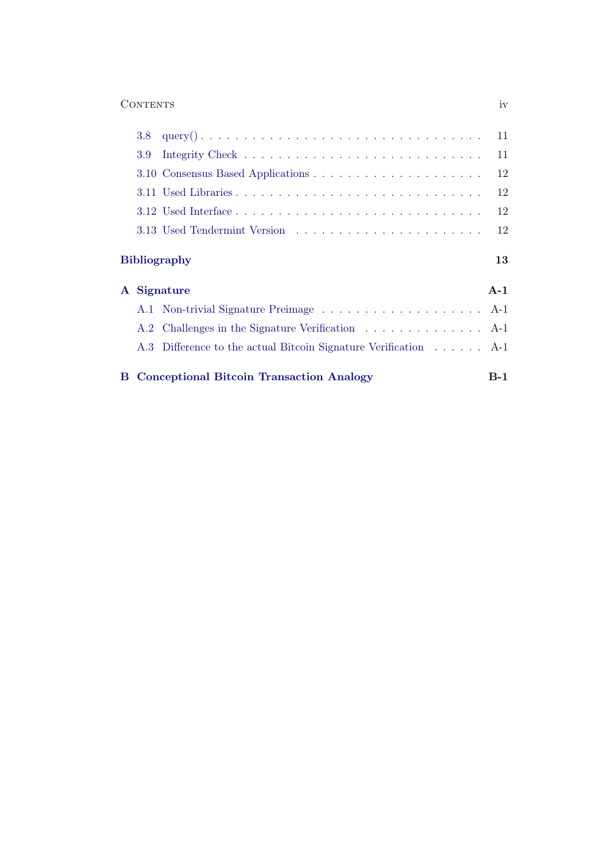## Contents iv

| 3.8 <sub>z</sub> | $query() \dots \dots \dots \dots \dots \dots \dots \dots \dots \dots \dots \dots \dots$ | 11          |
|------------------|-----------------------------------------------------------------------------------------|-------------|
| 3.9              |                                                                                         | 11          |
|                  |                                                                                         | 12          |
|                  |                                                                                         | 12          |
|                  |                                                                                         | 12          |
|                  |                                                                                         | 12          |
|                  |                                                                                         |             |
| ${\bf A}$        | <b>Bibliography</b><br>Signature                                                        | 13<br>$A-1$ |
|                  |                                                                                         |             |
|                  | A.2 Challenges in the Signature Verification  A-1                                       |             |
|                  | A.3 Difference to the actual Bitcoin Signature Verification A-1                         |             |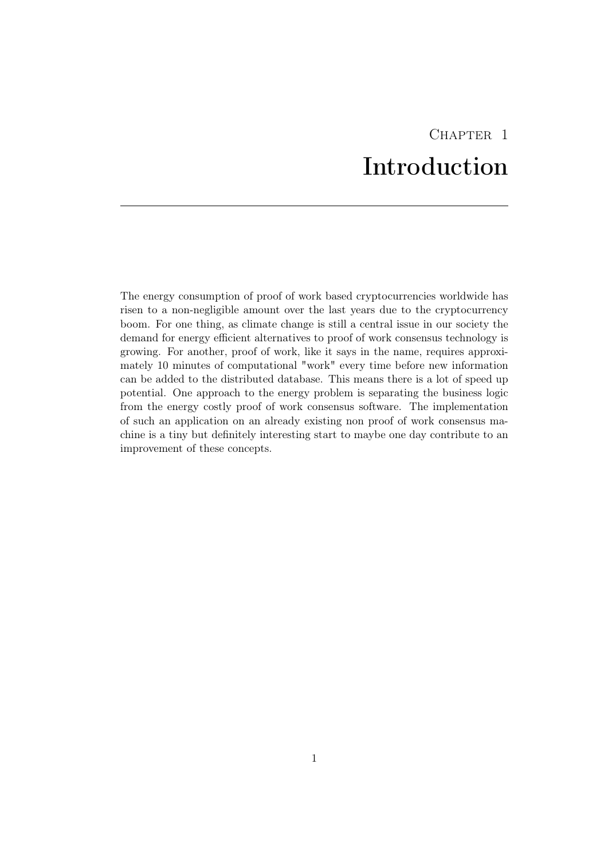## CHAPTER<sub>1</sub> Introduction

<span id="page-5-0"></span>The energy consumption of proof of work based cryptocurrencies worldwide has risen to a non-negligible amount over the last years due to the cryptocurrency boom. For one thing, as climate change is still a central issue in our society the demand for energy efficient alternatives to proof of work consensus technology is growing. For another, proof of work, like it says in the name, requires approximately 10 minutes of computational "work" every time before new information can be added to the distributed database. This means there is a lot of speed up potential. One approach to the energy problem is separating the business logic from the energy costly proof of work consensus software. The implementation of such an application on an already existing non proof of work consensus machine is a tiny but definitely interesting start to maybe one day contribute to an improvement of these concepts.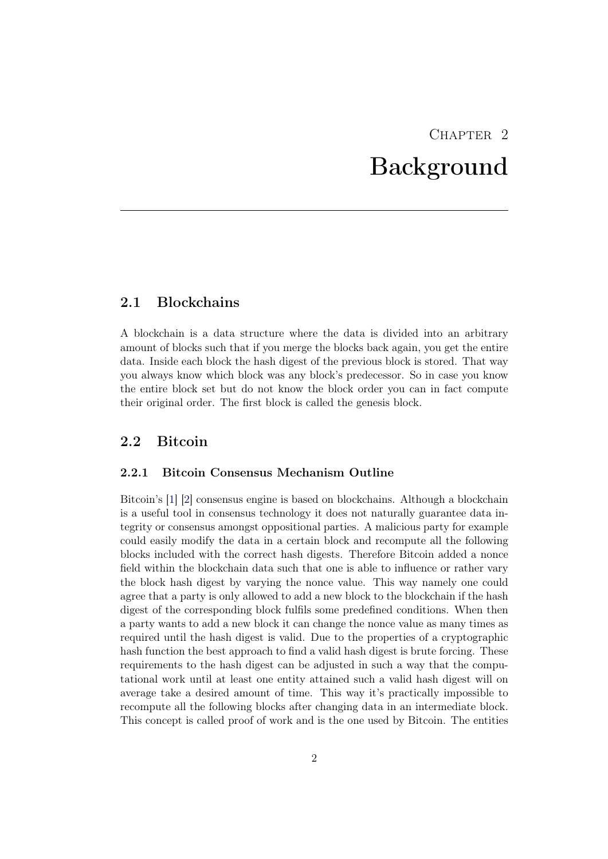## CHAPTER<sub>2</sub> Background

## <span id="page-6-1"></span><span id="page-6-0"></span>2.1 Blockchains

A blockchain is a data structure where the data is divided into an arbitrary amount of blocks such that if you merge the blocks back again, you get the entire data. Inside each block the hash digest of the previous block is stored. That way you always know which block was any block's predecessor. So in case you know the entire block set but do not know the block order you can in fact compute their original order. The first block is called the genesis block.

## <span id="page-6-2"></span>2.2 Bitcoin

### <span id="page-6-3"></span>2.2.1 Bitcoin Consensus Mechanism Outline

Bitcoin's [\[1\]](#page-17-1) [\[2\]](#page-17-2) consensus engine is based on blockchains. Although a blockchain is a useful tool in consensus technology it does not naturally guarantee data integrity or consensus amongst oppositional parties. A malicious party for example could easily modify the data in a certain block and recompute all the following blocks included with the correct hash digests. Therefore Bitcoin added a nonce field within the blockchain data such that one is able to influence or rather vary the block hash digest by varying the nonce value. This way namely one could agree that a party is only allowed to add a new block to the blockchain if the hash digest of the corresponding block fulfils some predefined conditions. When then a party wants to add a new block it can change the nonce value as many times as required until the hash digest is valid. Due to the properties of a cryptographic hash function the best approach to find a valid hash digest is brute forcing. These requirements to the hash digest can be adjusted in such a way that the computational work until at least one entity attained such a valid hash digest will on average take a desired amount of time. This way it's practically impossible to recompute all the following blocks after changing data in an intermediate block. This concept is called proof of work and is the one used by Bitcoin. The entities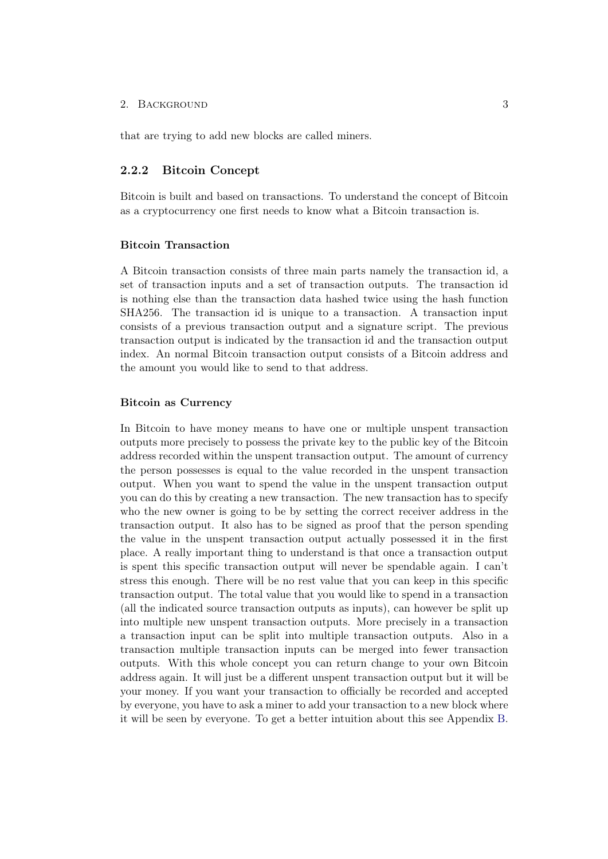that are trying to add new blocks are called miners.

## <span id="page-7-0"></span>2.2.2 Bitcoin Concept

Bitcoin is built and based on transactions. To understand the concept of Bitcoin as a cryptocurrency one first needs to know what a Bitcoin transaction is.

#### Bitcoin Transaction

A Bitcoin transaction consists of three main parts namely the transaction id, a set of transaction inputs and a set of transaction outputs. The transaction id is nothing else than the transaction data hashed twice using the hash function SHA256. The transaction id is unique to a transaction. A transaction input consists of a previous transaction output and a signature script. The previous transaction output is indicated by the transaction id and the transaction output index. An normal Bitcoin transaction output consists of a Bitcoin address and the amount you would like to send to that address.

#### Bitcoin as Currency

In Bitcoin to have money means to have one or multiple unspent transaction outputs more precisely to possess the private key to the public key of the Bitcoin address recorded within the unspent transaction output. The amount of currency the person possesses is equal to the value recorded in the unspent transaction output. When you want to spend the value in the unspent transaction output you can do this by creating a new transaction. The new transaction has to specify who the new owner is going to be by setting the correct receiver address in the transaction output. It also has to be signed as proof that the person spending the value in the unspent transaction output actually possessed it in the first place. A really important thing to understand is that once a transaction output is spent this specific transaction output will never be spendable again. I can't stress this enough. There will be no rest value that you can keep in this specific transaction output. The total value that you would like to spend in a transaction (all the indicated source transaction outputs as inputs), can however be split up into multiple new unspent transaction outputs. More precisely in a transaction a transaction input can be split into multiple transaction outputs. Also in a transaction multiple transaction inputs can be merged into fewer transaction outputs. With this whole concept you can return change to your own Bitcoin address again. It will just be a different unspent transaction output but it will be your money. If you want your transaction to officially be recorded and accepted by everyone, you have to ask a miner to add your transaction to a new block where it will be seen by everyone. To get a better intuition about this see Appendix [B.](#page-19-0)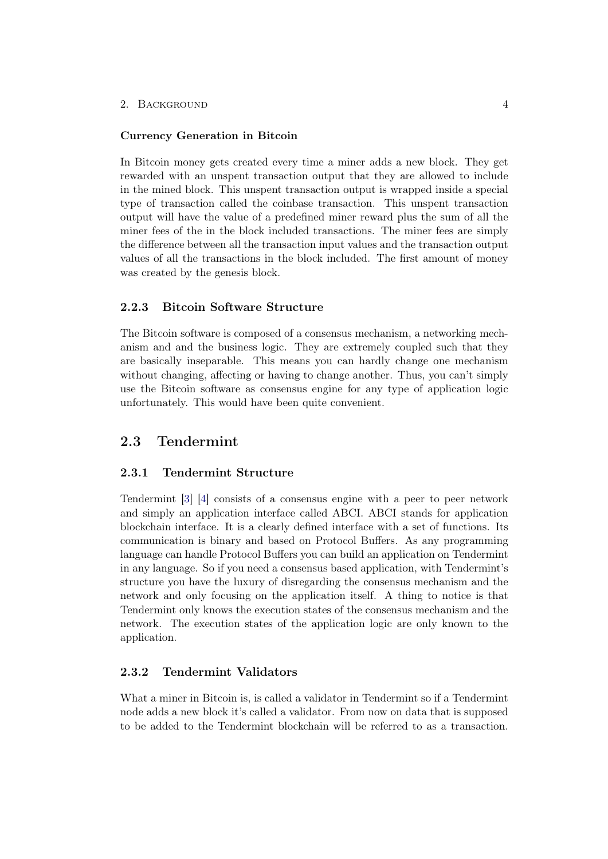#### Currency Generation in Bitcoin

In Bitcoin money gets created every time a miner adds a new block. They get rewarded with an unspent transaction output that they are allowed to include in the mined block. This unspent transaction output is wrapped inside a special type of transaction called the coinbase transaction. This unspent transaction output will have the value of a predefined miner reward plus the sum of all the miner fees of the in the block included transactions. The miner fees are simply the difference between all the transaction input values and the transaction output values of all the transactions in the block included. The first amount of money was created by the genesis block.

## <span id="page-8-0"></span>2.2.3 Bitcoin Software Structure

The Bitcoin software is composed of a consensus mechanism, a networking mechanism and and the business logic. They are extremely coupled such that they are basically inseparable. This means you can hardly change one mechanism without changing, affecting or having to change another. Thus, you can't simply use the Bitcoin software as consensus engine for any type of application logic unfortunately. This would have been quite convenient.

## <span id="page-8-1"></span>2.3 Tendermint

### <span id="page-8-2"></span>2.3.1 Tendermint Structure

Tendermint [\[3\]](#page-17-3) [\[4\]](#page-17-4) consists of a consensus engine with a peer to peer network and simply an application interface called ABCI. ABCI stands for application blockchain interface. It is a clearly defined interface with a set of functions. Its communication is binary and based on Protocol Buffers. As any programming language can handle Protocol Buffers you can build an application on Tendermint in any language. So if you need a consensus based application, with Tendermint's structure you have the luxury of disregarding the consensus mechanism and the network and only focusing on the application itself. A thing to notice is that Tendermint only knows the execution states of the consensus mechanism and the network. The execution states of the application logic are only known to the application.

## <span id="page-8-3"></span>2.3.2 Tendermint Validators

What a miner in Bitcoin is, is called a validator in Tendermint so if a Tendermint node adds a new block it's called a validator. From now on data that is supposed to be added to the Tendermint blockchain will be referred to as a transaction.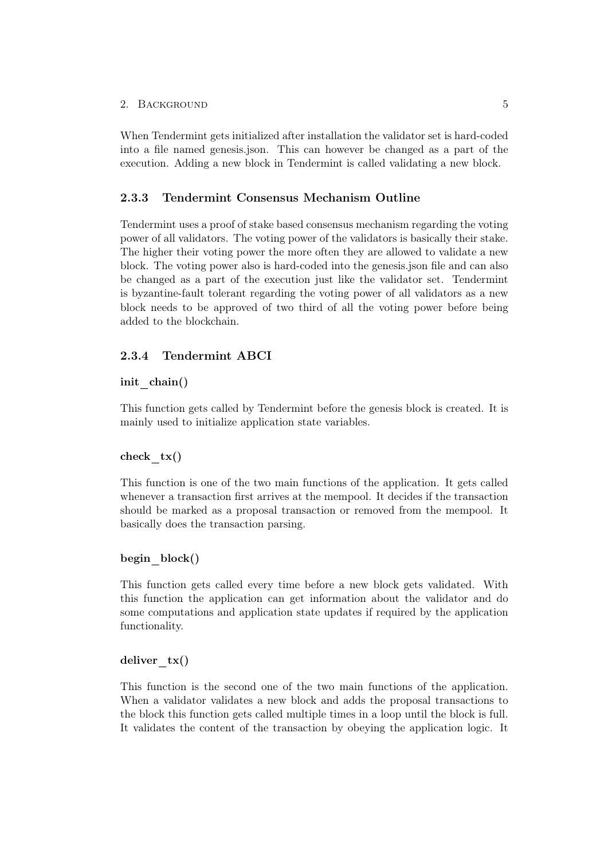When Tendermint gets initialized after installation the validator set is hard-coded into a file named genesis.json. This can however be changed as a part of the execution. Adding a new block in Tendermint is called validating a new block.

## <span id="page-9-0"></span>2.3.3 Tendermint Consensus Mechanism Outline

Tendermint uses a proof of stake based consensus mechanism regarding the voting power of all validators. The voting power of the validators is basically their stake. The higher their voting power the more often they are allowed to validate a new block. The voting power also is hard-coded into the genesis.json file and can also be changed as a part of the execution just like the validator set. Tendermint is byzantine-fault tolerant regarding the voting power of all validators as a new block needs to be approved of two third of all the voting power before being added to the blockchain.

## <span id="page-9-1"></span>2.3.4 Tendermint ABCI

#### init chain()

This function gets called by Tendermint before the genesis block is created. It is mainly used to initialize application state variables.

#### check  $tx()$

This function is one of the two main functions of the application. It gets called whenever a transaction first arrives at the mempool. It decides if the transaction should be marked as a proposal transaction or removed from the mempool. It basically does the transaction parsing.

### begin\_block()

This function gets called every time before a new block gets validated. With this function the application can get information about the validator and do some computations and application state updates if required by the application functionality.

### deliver  $tx()$

This function is the second one of the two main functions of the application. When a validator validates a new block and adds the proposal transactions to the block this function gets called multiple times in a loop until the block is full. It validates the content of the transaction by obeying the application logic. It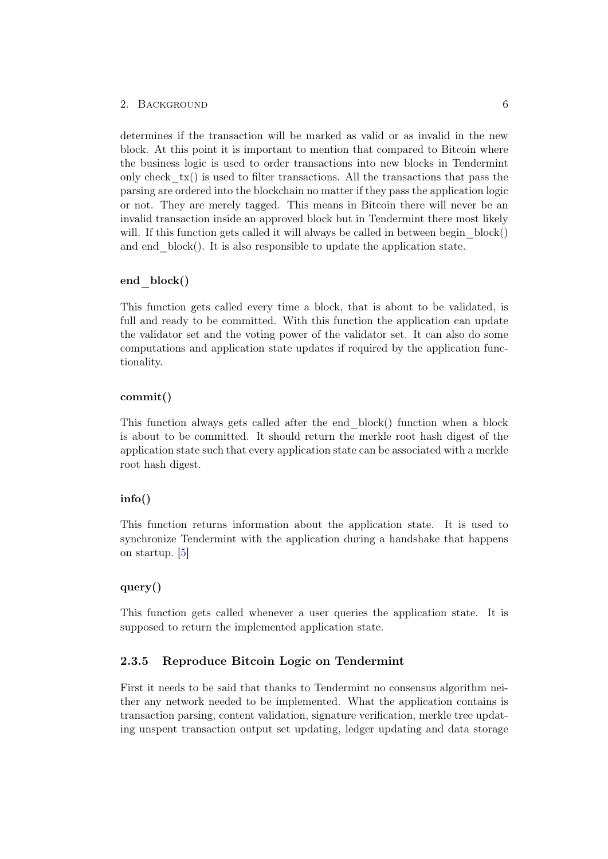determines if the transaction will be marked as valid or as invalid in the new block. At this point it is important to mention that compared to Bitcoin where the business logic is used to order transactions into new blocks in Tendermint only check  $tx()$  is used to filter transactions. All the transactions that pass the parsing are ordered into the blockchain no matter if they pass the application logic or not. They are merely tagged. This means in Bitcoin there will never be an invalid transaction inside an approved block but in Tendermint there most likely will. If this function gets called it will always be called in between begin block() and end block(). It is also responsible to update the application state.

#### end block()

This function gets called every time a block, that is about to be validated, is full and ready to be committed. With this function the application can update the validator set and the voting power of the validator set. It can also do some computations and application state updates if required by the application functionality.

#### commit()

This function always gets called after the end\_block() function when a block is about to be committed. It should return the merkle root hash digest of the application state such that every application state can be associated with a merkle root hash digest.

### info()

This function returns information about the application state. It is used to synchronize Tendermint with the application during a handshake that happens on startup. [\[5\]](#page-17-5)

## query()

This function gets called whenever a user queries the application state. It is supposed to return the implemented application state.

### <span id="page-10-0"></span>2.3.5 Reproduce Bitcoin Logic on Tendermint

First it needs to be said that thanks to Tendermint no consensus algorithm neither any network needed to be implemented. What the application contains is transaction parsing, content validation, signature verification, merkle tree updating unspent transaction output set updating, ledger updating and data storage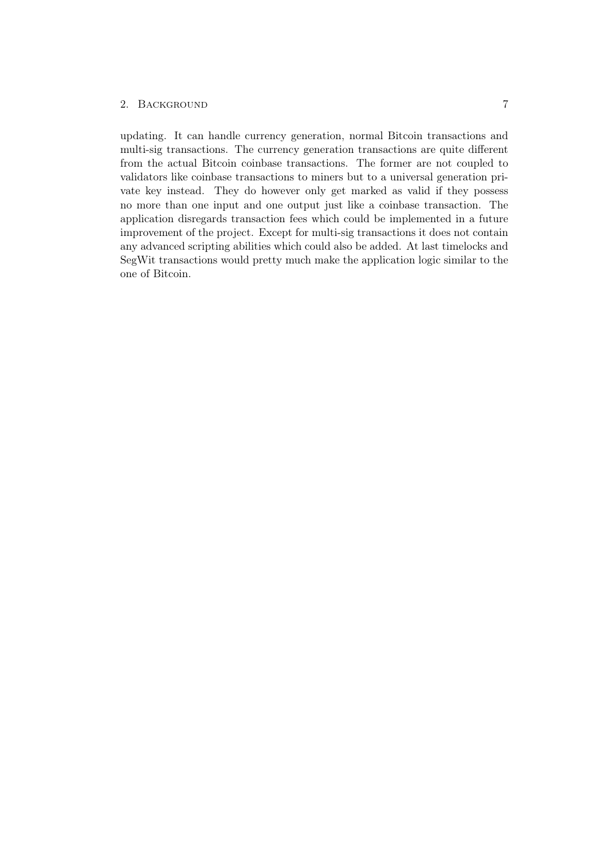updating. It can handle currency generation, normal Bitcoin transactions and multi-sig transactions. The currency generation transactions are quite different from the actual Bitcoin coinbase transactions. The former are not coupled to validators like coinbase transactions to miners but to a universal generation private key instead. They do however only get marked as valid if they possess no more than one input and one output just like a coinbase transaction. The application disregards transaction fees which could be implemented in a future improvement of the project. Except for multi-sig transactions it does not contain any advanced scripting abilities which could also be added. At last timelocks and SegWit transactions would pretty much make the application logic similar to the one of Bitcoin.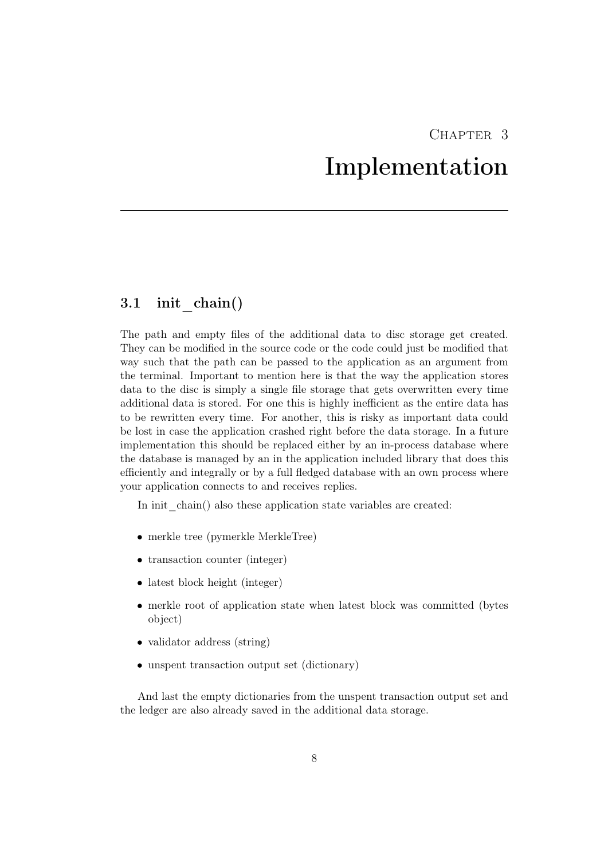## CHAPTER 3 Implementation

## <span id="page-12-1"></span><span id="page-12-0"></span>3.1 init\_chain()

The path and empty files of the additional data to disc storage get created. They can be modified in the source code or the code could just be modified that way such that the path can be passed to the application as an argument from the terminal. Important to mention here is that the way the application stores data to the disc is simply a single file storage that gets overwritten every time additional data is stored. For one this is highly inefficient as the entire data has to be rewritten every time. For another, this is risky as important data could be lost in case the application crashed right before the data storage. In a future implementation this should be replaced either by an in-process database where the database is managed by an in the application included library that does this efficiently and integrally or by a full fledged database with an own process where your application connects to and receives replies.

In init chain() also these application state variables are created:

- merkle tree (pymerkle MerkleTree)
- transaction counter (integer)
- latest block height (integer)
- merkle root of application state when latest block was committed (bytes object)
- validator address (string)
- unspent transaction output set (dictionary)

And last the empty dictionaries from the unspent transaction output set and the ledger are also already saved in the additional data storage.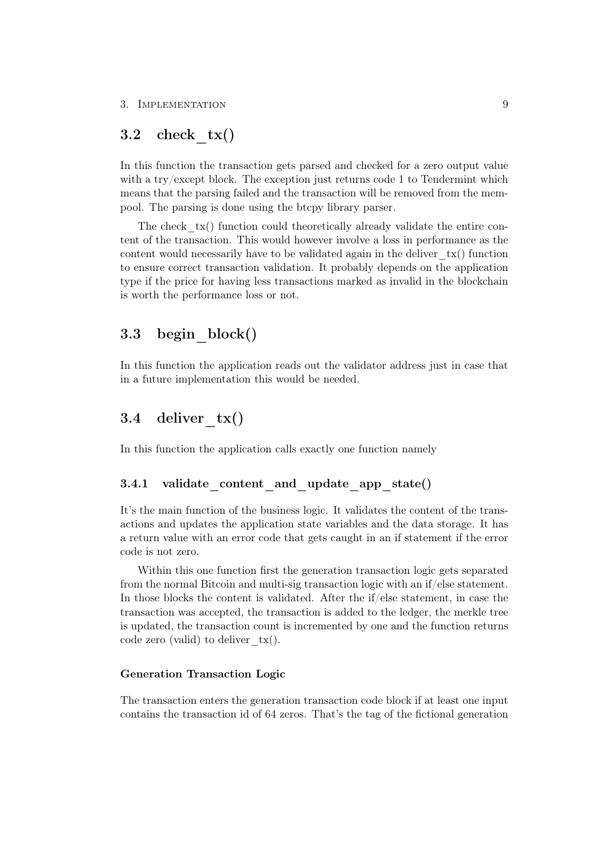#### 3. IMPLEMENTATION 9

## <span id="page-13-0"></span>3.2 check  $tx()$

In this function the transaction gets parsed and checked for a zero output value with a try/except block. The exception just returns code 1 to Tendermint which means that the parsing failed and the transaction will be removed from the mempool. The parsing is done using the btcpy library parser.

The check  $tx()$  function could theoretically already validate the entire content of the transaction. This would however involve a loss in performance as the content would necessarily have to be validated again in the deliver  $tx()$  function to ensure correct transaction validation. It probably depends on the application type if the price for having less transactions marked as invalid in the blockchain is worth the performance loss or not.

## <span id="page-13-1"></span>3.3 begin\_block()

In this function the application reads out the validator address just in case that in a future implementation this would be needed.

## <span id="page-13-2"></span>3.4 deliver  $tx()$

In this function the application calls exactly one function namely

#### <span id="page-13-3"></span>3.4.1 validate content and update app state()

It's the main function of the business logic. It validates the content of the transactions and updates the application state variables and the data storage. It has a return value with an error code that gets caught in an if statement if the error code is not zero.

Within this one function first the generation transaction logic gets separated from the normal Bitcoin and multi-sig transaction logic with an if/else statement. In those blocks the content is validated. After the  $if/e$ lse statement, in case the transaction was accepted, the transaction is added to the ledger, the merkle tree is updated, the transaction count is incremented by one and the function returns code zero (valid) to deliver  $tx()$ .

## Generation Transaction Logic

The transaction enters the generation transaction code block if at least one input contains the transaction id of 64 zeros. That's the tag of the fictional generation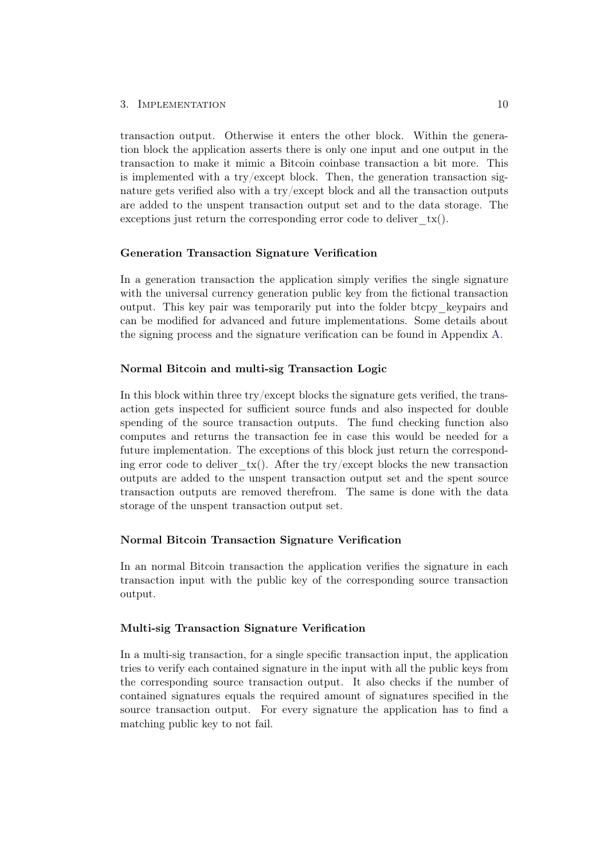#### 3. IMPLEMENTATION 10

transaction output. Otherwise it enters the other block. Within the generation block the application asserts there is only one input and one output in the transaction to make it mimic a Bitcoin coinbase transaction a bit more. This is implemented with a try/except block. Then, the generation transaction signature gets verified also with a try/except block and all the transaction outputs are added to the unspent transaction output set and to the data storage. The exceptions just return the corresponding error code to deliver  $tx()$ .

#### Generation Transaction Signature Verification

In a generation transaction the application simply verifies the single signature with the universal currency generation public key from the fictional transaction output. This key pair was temporarily put into the folder btcpy\_keypairs and can be modified for advanced and future implementations. Some details about the signing process and the signature verification can be found in Appendix [A.](#page-18-0)

#### Normal Bitcoin and multi-sig Transaction Logic

In this block within three try/except blocks the signature gets verified, the transaction gets inspected for sufficient source funds and also inspected for double spending of the source transaction outputs. The fund checking function also computes and returns the transaction fee in case this would be needed for a future implementation. The exceptions of this block just return the corresponding error code to deliver  $tx()$ . After the try/except blocks the new transaction outputs are added to the unspent transaction output set and the spent source transaction outputs are removed therefrom. The same is done with the data storage of the unspent transaction output set.

#### Normal Bitcoin Transaction Signature Verification

In an normal Bitcoin transaction the application verifies the signature in each transaction input with the public key of the corresponding source transaction output.

### Multi-sig Transaction Signature Verification

In a multi-sig transaction, for a single specific transaction input, the application tries to verify each contained signature in the input with all the public keys from the corresponding source transaction output. It also checks if the number of contained signatures equals the required amount of signatures specified in the source transaction output. For every signature the application has to find a matching public key to not fail.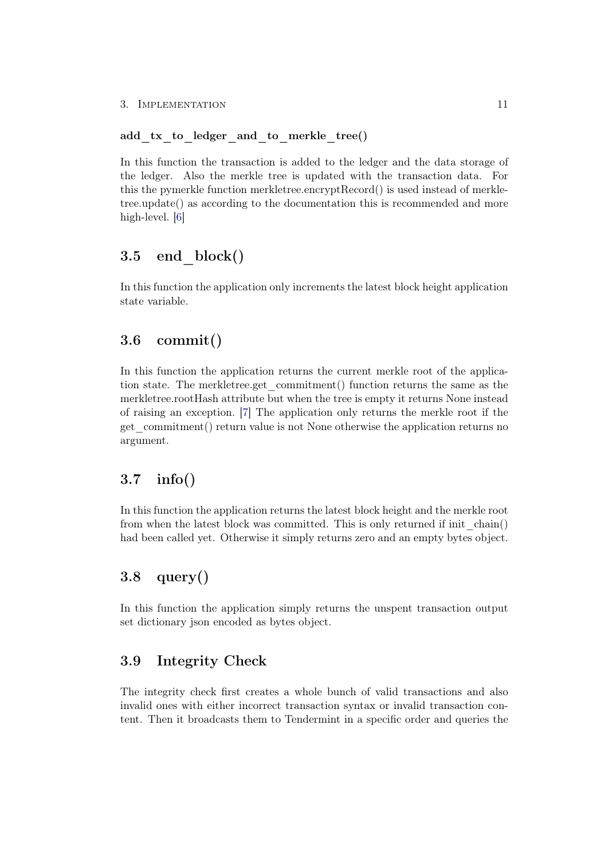## add tx to ledger and to merkle tree()

In this function the transaction is added to the ledger and the data storage of the ledger. Also the merkle tree is updated with the transaction data. For this the pymerkle function merkletree.encryptRecord() is used instead of merkletree.update() as according to the documentation this is recommended and more high-level. [\[6\]](#page-17-6)

## <span id="page-15-0"></span> $3.5$  end block()

In this function the application only increments the latest block height application state variable.

## <span id="page-15-1"></span>3.6 commit()

In this function the application returns the current merkle root of the application state. The merkletree.get\_commitment() function returns the same as the merkletree.rootHash attribute but when the tree is empty it returns None instead of raising an exception. [\[7\]](#page-17-7) The application only returns the merkle root if the get\_commitment() return value is not None otherwise the application returns no argument.

## <span id="page-15-2"></span>3.7 info()

In this function the application returns the latest block height and the merkle root from when the latest block was committed. This is only returned if init\_chain() had been called yet. Otherwise it simply returns zero and an empty bytes object.

## <span id="page-15-3"></span>3.8 query()

In this function the application simply returns the unspent transaction output set dictionary json encoded as bytes object.

## <span id="page-15-4"></span>3.9 Integrity Check

The integrity check first creates a whole bunch of valid transactions and also invalid ones with either incorrect transaction syntax or invalid transaction content. Then it broadcasts them to Tendermint in a specific order and queries the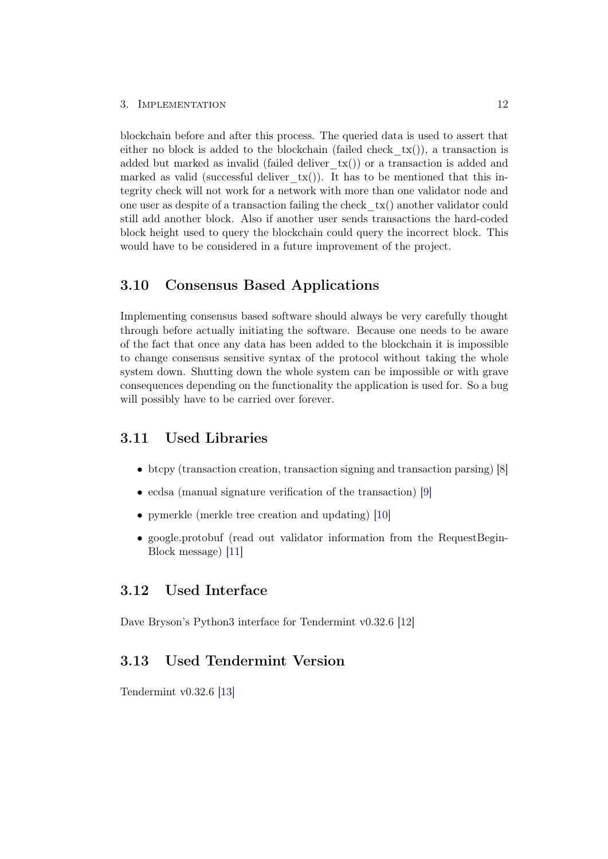#### 3. IMPLEMENTATION 12

blockchain before and after this process. The queried data is used to assert that either no block is added to the blockchain (failed check  $tx()$ ), a transaction is added but marked as invalid (failed deliver  $tx()$ ) or a transaction is added and marked as valid (successful deliver  $tx()$ ). It has to be mentioned that this integrity check will not work for a network with more than one validator node and one user as despite of a transaction failing the check  $tx()$  another validator could still add another block. Also if another user sends transactions the hard-coded block height used to query the blockchain could query the incorrect block. This would have to be considered in a future improvement of the project.

## <span id="page-16-0"></span>3.10 Consensus Based Applications

Implementing consensus based software should always be very carefully thought through before actually initiating the software. Because one needs to be aware of the fact that once any data has been added to the blockchain it is impossible to change consensus sensitive syntax of the protocol without taking the whole system down. Shutting down the whole system can be impossible or with grave consequences depending on the functionality the application is used for. So a bug will possibly have to be carried over forever.

## <span id="page-16-1"></span>3.11 Used Libraries

- btcpy (transaction creation, transaction signing and transaction parsing) [\[8\]](#page-17-8)
- ecdsa (manual signature verification of the transaction) [\[9\]](#page-17-9)
- pymerkle (merkle tree creation and updating) [\[10\]](#page-17-10)
- google.protobuf (read out validator information from the RequestBegin-Block message) [\[11\]](#page-17-11)

## <span id="page-16-2"></span>3.12 Used Interface

Dave Bryson's Python3 interface for Tendermint v0.32.6 [\[12\]](#page-17-12)

## <span id="page-16-3"></span>3.13 Used Tendermint Version

Tendermint v0.32.6 [\[13\]](#page-17-13)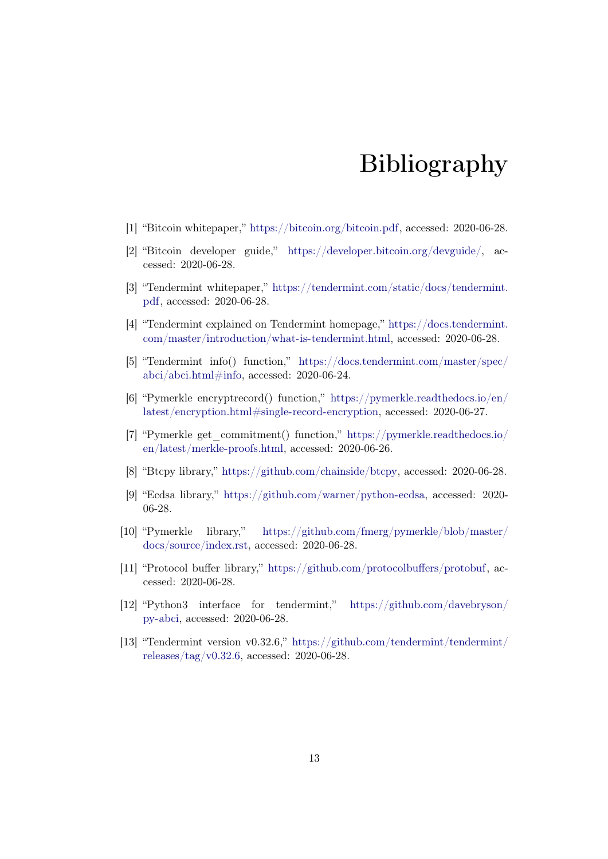## Bibliography

- <span id="page-17-1"></span><span id="page-17-0"></span>[1] "Bitcoin whitepaper," [https://bitcoin.org/bitcoin.pdf,](https://bitcoin.org/bitcoin.pdf) accessed: 2020-06-28.
- <span id="page-17-2"></span>[2] "Bitcoin developer guide," [https://developer.bitcoin.org/devguide/,](https://developer.bitcoin.org/devguide/) accessed: 2020-06-28.
- <span id="page-17-3"></span>[3] "Tendermint whitepaper," [https://tendermint.com/static/docs/tendermint.](https://tendermint.com/static/docs/tendermint.pdf) [pdf,](https://tendermint.com/static/docs/tendermint.pdf) accessed: 2020-06-28.
- <span id="page-17-4"></span>[4] "Tendermint explained on Tendermint homepage," [https://docs.tendermint.](https://docs.tendermint.com/master/introduction/what-is-tendermint.html) [com/master/introduction/what-is-tendermint.html,](https://docs.tendermint.com/master/introduction/what-is-tendermint.html) accessed: 2020-06-28.
- <span id="page-17-5"></span>[5] "Tendermint info() function," [https://docs.tendermint.com/master/spec/](https://docs.tendermint.com/master/spec/abci/abci.html#info) [abci/abci.html#info,](https://docs.tendermint.com/master/spec/abci/abci.html#info) accessed: 2020-06-24.
- <span id="page-17-6"></span>[6] "Pymerkle encryptrecord() function," [https://pymerkle.readthedocs.io/en/](https://pymerkle.readthedocs.io/en/latest/encryption.html#single-record-encryption) [latest/encryption.html#single-record-encryption,](https://pymerkle.readthedocs.io/en/latest/encryption.html#single-record-encryption) accessed: 2020-06-27.
- <span id="page-17-7"></span>[7] "Pymerkle get\_commitment() function," [https://pymerkle.readthedocs.io/](https://pymerkle.readthedocs.io/en/latest/merkle-proofs.html) [en/latest/merkle-proofs.html,](https://pymerkle.readthedocs.io/en/latest/merkle-proofs.html) accessed: 2020-06-26.
- <span id="page-17-8"></span>[8] "Btcpy library," [https://github.com/chainside/btcpy,](https://github.com/chainside/btcpy) accessed: 2020-06-28.
- <span id="page-17-9"></span>[9] "Ecdsa library," [https://github.com/warner/python-ecdsa,](https://github.com/warner/python-ecdsa) accessed: 2020- 06-28.
- <span id="page-17-10"></span>[10] "Pymerkle library," [https://github.com/fmerg/pymerkle/blob/master/](https://github.com/fmerg/pymerkle/blob/master/docs/source/index.rst) [docs/source/index.rst,](https://github.com/fmerg/pymerkle/blob/master/docs/source/index.rst) accessed: 2020-06-28.
- <span id="page-17-11"></span>[11] "Protocol buffer library," [https://github.com/protocolbuffers/protobuf,](https://github.com/protocolbuffers/protobuf) accessed: 2020-06-28.
- <span id="page-17-12"></span>[12] "Python3 interface for tendermint," [https://github.com/davebryson/](https://github.com/davebryson/py-abci) [py-abci,](https://github.com/davebryson/py-abci) accessed: 2020-06-28.
- <span id="page-17-13"></span>[13] "Tendermint version v0.32.6," [https://github.com/tendermint/tendermint/](https://github.com/tendermint/tendermint/releases/tag/v0.32.6) [releases/tag/v0.32.6,](https://github.com/tendermint/tendermint/releases/tag/v0.32.6) accessed: 2020-06-28.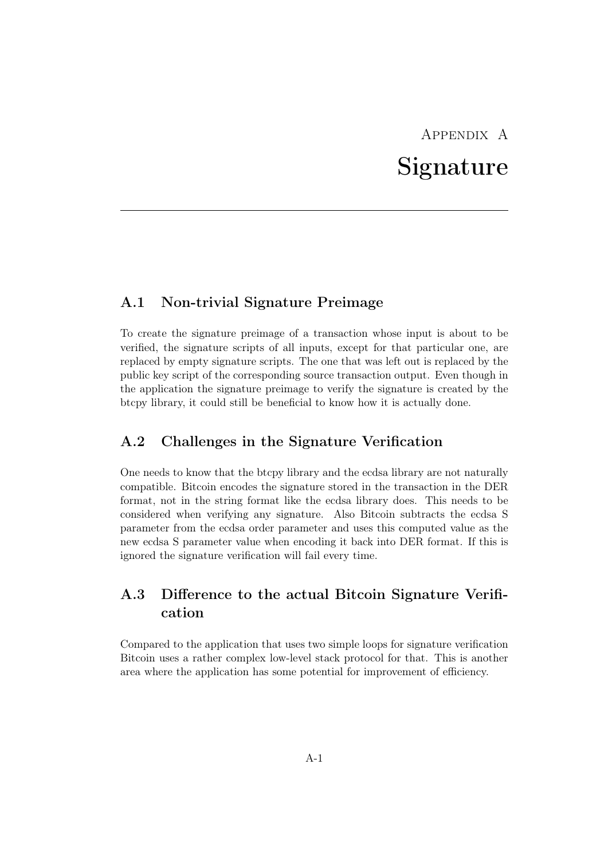# Appendix A Signature

## <span id="page-18-1"></span><span id="page-18-0"></span>A.1 Non-trivial Signature Preimage

To create the signature preimage of a transaction whose input is about to be verified, the signature scripts of all inputs, except for that particular one, are replaced by empty signature scripts. The one that was left out is replaced by the public key script of the corresponding source transaction output. Even though in the application the signature preimage to verify the signature is created by the btcpy library, it could still be beneficial to know how it is actually done.

## <span id="page-18-2"></span>A.2 Challenges in the Signature Verification

One needs to know that the btcpy library and the ecdsa library are not naturally compatible. Bitcoin encodes the signature stored in the transaction in the DER format, not in the string format like the ecdsa library does. This needs to be considered when verifying any signature. Also Bitcoin subtracts the ecdsa S parameter from the ecdsa order parameter and uses this computed value as the new ecdsa S parameter value when encoding it back into DER format. If this is ignored the signature verification will fail every time.

## <span id="page-18-3"></span>A.3 Difference to the actual Bitcoin Signature Verification

Compared to the application that uses two simple loops for signature verification Bitcoin uses a rather complex low-level stack protocol for that. This is another area where the application has some potential for improvement of efficiency.